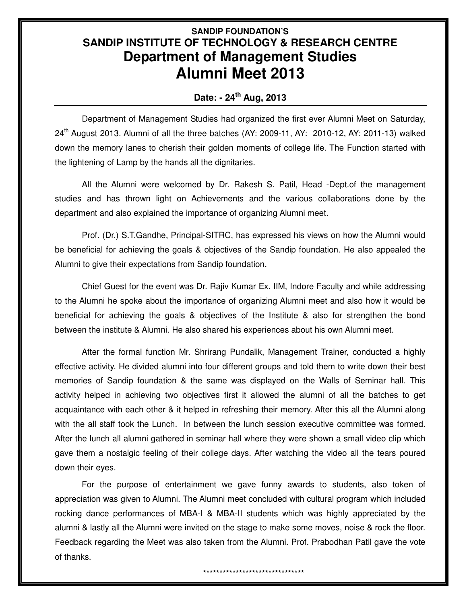## **SANDIP FOUNDATION'S SANDIP INSTITUTE OF TECHNOLOGY & RESEARCH CENTRE Department of Management Studies Alumni Meet 2013**

## **Date: - 24th Aug, 2013**

Department of Management Studies had organized the first ever Alumni Meet on Saturday,  $24<sup>th</sup>$  August 2013. Alumni of all the three batches (AY: 2009-11, AY: 2010-12, AY: 2011-13) walked down the memory lanes to cherish their golden moments of college life. The Function started with the lightening of Lamp by the hands all the dignitaries.

All the Alumni were welcomed by Dr. Rakesh S. Patil, Head -Dept.of the management studies and has thrown light on Achievements and the various collaborations done by the department and also explained the importance of organizing Alumni meet.

Prof. (Dr.) S.T.Gandhe, Principal-SITRC, has expressed his views on how the Alumni would be beneficial for achieving the goals & objectives of the Sandip foundation. He also appealed the Alumni to give their expectations from Sandip foundation.

Chief Guest for the event was Dr. Rajiv Kumar Ex. IIM, Indore Faculty and while addressing to the Alumni he spoke about the importance of organizing Alumni meet and also how it would be beneficial for achieving the goals & objectives of the Institute & also for strengthen the bond between the institute & Alumni. He also shared his experiences about his own Alumni meet.

After the formal function Mr. Shrirang Pundalik, Management Trainer, conducted a highly effective activity. He divided alumni into four different groups and told them to write down their best memories of Sandip foundation & the same was displayed on the Walls of Seminar hall. This activity helped in achieving two objectives first it allowed the alumni of all the batches to get acquaintance with each other & it helped in refreshing their memory. After this all the Alumni along with the all staff took the Lunch. In between the lunch session executive committee was formed. After the lunch all alumni gathered in seminar hall where they were shown a small video clip which gave them a nostalgic feeling of their college days. After watching the video all the tears poured down their eyes.

For the purpose of entertainment we gave funny awards to students, also token of appreciation was given to Alumni. The Alumni meet concluded with cultural program which included rocking dance performances of MBA-I & MBA-II students which was highly appreciated by the alumni & lastly all the Alumni were invited on the stage to make some moves, noise & rock the floor. Feedback regarding the Meet was also taken from the Alumni. Prof. Prabodhan Patil gave the vote of thanks.

## \*\*\*\*\*\*\*\*\*\*\*\*\*\*\*\*\*\*\*\*\*\*\*\*\*\*\*\*\*\*\*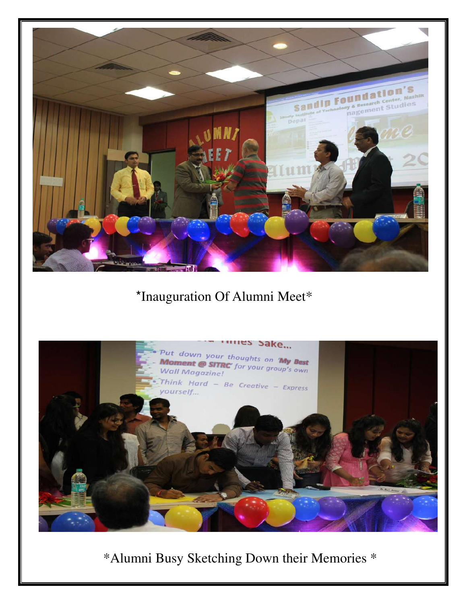

## \*Inauguration Of Alumni Meet\*



\*Alumni Busy Sketching Down their Memories \*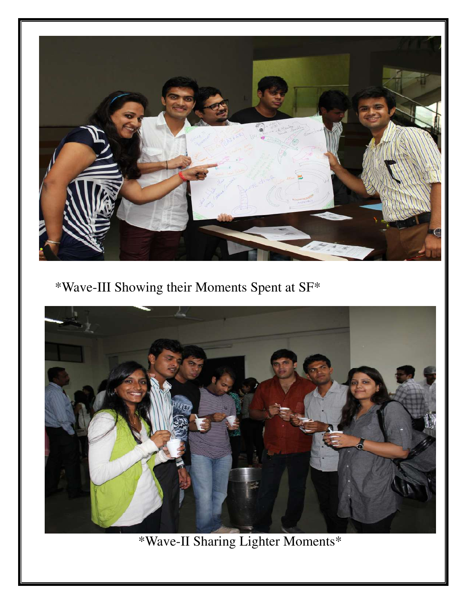

\*Wave-III Showing their Moments Spent at SF\*



\*Wave-II Sharing Lighter Moments\*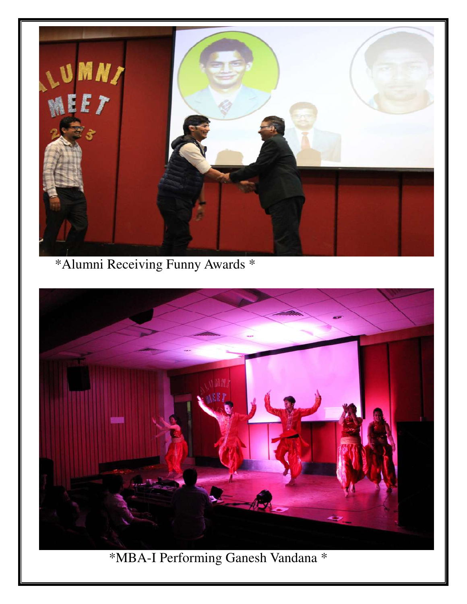

\*Alumni Receiving Funny Awards \*



\*MBA-I Performing Ganesh Vandana \*